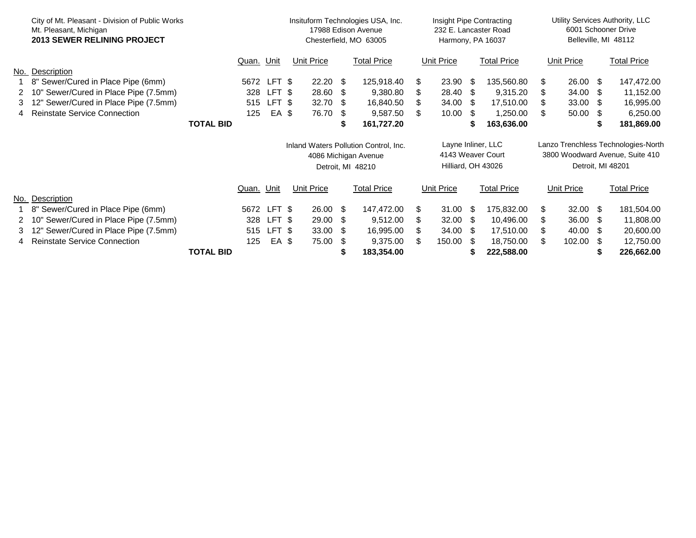|   | City of Mt. Pleasant - Division of Public Works<br>Mt. Pleasant, Michigan<br><b>2013 SEWER RELINING PROJECT</b> |                  |            |        | Insituform Technologies USA, Inc.<br>17988 Edison Avenue<br>Chesterfield, MO 63005 |                 |                    |                    |                    | Insight Pipe Contracting<br>232 E. Lancaster Road<br>Harmony, PA 16037 |                    |                                     |                    | Utility Services Authority, LLC<br>6001 Schooner Drive<br>Belleville, MI 48112 |                    |            |  |
|---|-----------------------------------------------------------------------------------------------------------------|------------------|------------|--------|------------------------------------------------------------------------------------|-----------------|--------------------|--------------------|--------------------|------------------------------------------------------------------------|--------------------|-------------------------------------|--------------------|--------------------------------------------------------------------------------|--------------------|------------|--|
|   |                                                                                                                 |                  | Quan. Unit |        | <b>Unit Price</b>                                                                  |                 | <b>Total Price</b> | Unit Price         |                    |                                                                        | <b>Total Price</b> |                                     | <b>Unit Price</b>  |                                                                                | <b>Total Price</b> |            |  |
|   | No. Description                                                                                                 |                  |            |        |                                                                                    |                 |                    |                    |                    |                                                                        |                    |                                     |                    |                                                                                |                    |            |  |
|   | 8" Sewer/Cured in Place Pipe (6mm)                                                                              |                  | 5672       | LFT \$ |                                                                                    | $22.20$ \$      |                    | 125,918.40         | \$.                | 23.90 \$                                                               |                    | 135,560.80                          | \$                 | 26.00                                                                          | \$                 | 147,472.00 |  |
| 2 | 10" Sewer/Cured in Place Pipe (7.5mm)                                                                           |                  | 328        | LFT \$ |                                                                                    | 28.60 \$        |                    | 9,380.80           |                    | 28.40                                                                  | - \$               | 9,315.20                            |                    | 34.00                                                                          | \$                 | 11,152.00  |  |
| 3 | 12" Sewer/Cured in Place Pipe (7.5mm)                                                                           |                  | 515        | LFT \$ |                                                                                    | 32.70 $$$       |                    | 16,840.50          | \$                 | 34.00                                                                  | - \$               | 17,510.00                           |                    | 33.00                                                                          | - \$               | 16,995.00  |  |
|   | 4 Reinstate Service Connection                                                                                  |                  | 125        | EA \$  |                                                                                    | 76.70           | -\$                | 9,587.50           | \$.                | 10.00                                                                  | - 95               | 1,250.00                            |                    | 50.00                                                                          | -S                 | 6,250.00   |  |
|   |                                                                                                                 | <b>TOTAL BID</b> |            |        |                                                                                    |                 | S                  | 161,727.20         |                    |                                                                        | S                  | 163,636.00                          |                    |                                                                                | Ж                  | 181,869.00 |  |
|   |                                                                                                                 |                  |            |        | Inland Waters Pollution Control, Inc.                                              |                 |                    | Layne Inliner, LLC |                    |                                                                        |                    | Lanzo Trenchless Technologies-North |                    |                                                                                |                    |            |  |
|   |                                                                                                                 |                  |            |        | 4086 Michigan Avenue                                                               |                 |                    | 4143 Weaver Court  |                    |                                                                        |                    | 3800 Woodward Avenue, Suite 410     |                    |                                                                                |                    |            |  |
|   |                                                                                                                 |                  |            |        | Detroit, MI 48210                                                                  |                 |                    |                    | Hilliard, OH 43026 |                                                                        |                    |                                     | Detroit, MI 48201  |                                                                                |                    |            |  |
|   |                                                                                                                 |                  | Quan. Unit |        | <b>Unit Price</b>                                                                  |                 | <b>Total Price</b> | <b>Unit Price</b>  |                    | <b>Total Price</b>                                                     | Unit Price         |                                     | <b>Total Price</b> |                                                                                |                    |            |  |
|   | No. Description                                                                                                 |                  |            |        |                                                                                    |                 |                    |                    |                    |                                                                        |                    |                                     |                    |                                                                                |                    |            |  |
|   | 8" Sewer/Cured in Place Pipe (6mm)                                                                              |                  | 5672       | LFT \$ |                                                                                    | $26.00\quad$ \$ |                    | 147,472.00         | \$.                | 31.00                                                                  | - \$               | 175,832.00                          | \$                 | 32.00                                                                          | \$                 | 181,504.00 |  |
| 2 | 10" Sewer/Cured in Place Pipe (7.5mm)                                                                           |                  | 328        | LFT \$ |                                                                                    | 29.00 \$        |                    | 9,512.00           | \$                 | 32.00                                                                  | - \$               | 10,496.00                           | \$.                | 36.00                                                                          | S.                 | 11,808.00  |  |
| 3 | 12" Sewer/Cured in Place Pipe (7.5mm)                                                                           |                  | 515        | LFT \$ |                                                                                    | 33.00           | - \$               | 16,995.00          |                    | 34.00                                                                  | - 95               | 17,510.00                           |                    | 40.00                                                                          | -S                 | 20,600.00  |  |
|   | 4 Reinstate Service Connection                                                                                  |                  | 125        | EA \$  |                                                                                    | 75.00           | - \$               | 9,375.00           | R.                 | 150.00                                                                 | - \$               | 18,750.00                           | \$.                | 102.00                                                                         | -S                 | 12,750.00  |  |
|   |                                                                                                                 | <b>TOTAL BID</b> |            |        |                                                                                    |                 |                    | 183,354.00         |                    |                                                                        |                    | 222,588.00                          |                    |                                                                                |                    | 226,662.00 |  |